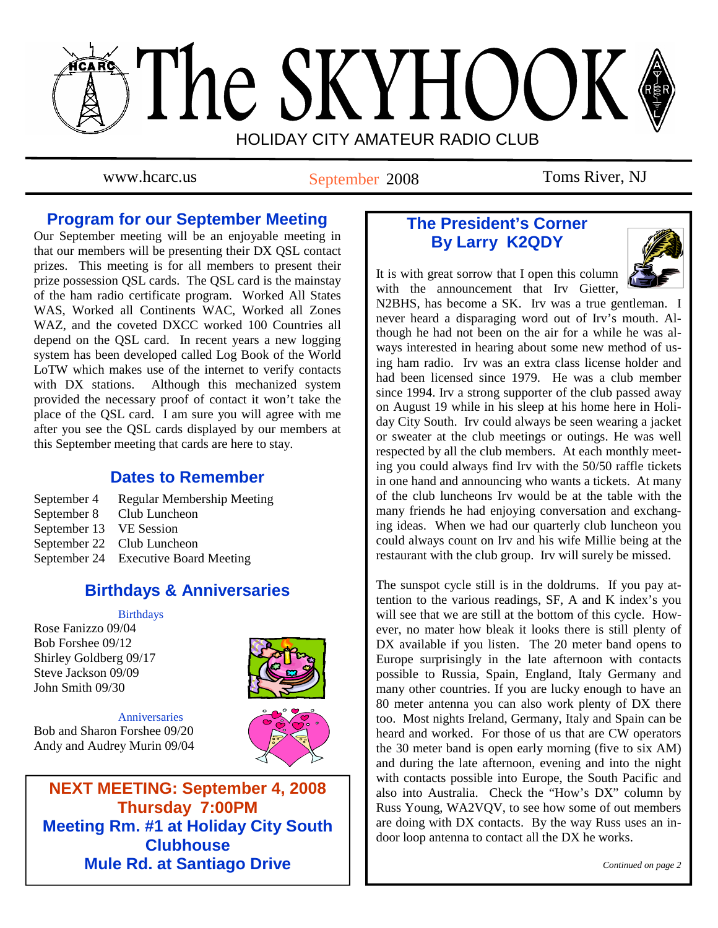

www.hcarc.us September 2008 Toms River, NJ

## **Program for our September Meeting**

Our September meeting will be an enjoyable meeting in that our members will be presenting their DX QSL contact prizes. This meeting is for all members to present their prize possession QSL cards. The QSL card is the mainstay of the ham radio certificate program. Worked All States WAS, Worked all Continents WAC, Worked all Zones WAZ, and the coveted DXCC worked 100 Countries all depend on the QSL card. In recent years a new logging system has been developed called Log Book of the World LoTW which makes use of the internet to verify contacts with DX stations. Although this mechanized system provided the necessary proof of contact it won't take the place of the QSL card. I am sure you will agree with me after you see the QSL cards displayed by our members at this September meeting that cards are here to stay.

### **Dates to Remember**

September 4 Regular Membership Meeting September 8 Club Luncheon September 13 VE Session September 22 Club Luncheon September 24 Executive Board Meeting

# **Birthdays & Anniversaries**

### **Birthdays**

Rose Fanizzo 09/04 Bob Forshee 09/12 Shirley Goldberg 09/17 Steve Jackson 09/09 John Smith 09/30



**Anniversaries** Bob and Sharon Forshee 09/20 Andy and Audrey Murin 09/04



**NEXT MEETING: September 4, 2008 Thursday 7:00PM Meeting Rm. #1 at Holiday City South Clubhouse Mule Rd. at Santiago Drive** 

# **The President's Corner By Larry K2QDY**



It is with great sorrow that I open this column with the announcement that Irv Gietter,

N2BHS, has become a SK. Irv was a true gentleman. I never heard a disparaging word out of Irv's mouth. Although he had not been on the air for a while he was always interested in hearing about some new method of using ham radio. Irv was an extra class license holder and had been licensed since 1979. He was a club member since 1994. Irv a strong supporter of the club passed away on August 19 while in his sleep at his home here in Holiday City South. Irv could always be seen wearing a jacket or sweater at the club meetings or outings. He was well respected by all the club members. At each monthly meeting you could always find Irv with the 50/50 raffle tickets in one hand and announcing who wants a tickets. At many of the club luncheons Irv would be at the table with the many friends he had enjoying conversation and exchanging ideas. When we had our quarterly club luncheon you could always count on Irv and his wife Millie being at the restaurant with the club group. Irv will surely be missed.

The sunspot cycle still is in the doldrums. If you pay attention to the various readings, SF, A and K index's you will see that we are still at the bottom of this cycle. However, no mater how bleak it looks there is still plenty of DX available if you listen. The 20 meter band opens to Europe surprisingly in the late afternoon with contacts possible to Russia, Spain, England, Italy Germany and many other countries. If you are lucky enough to have an 80 meter antenna you can also work plenty of DX there too. Most nights Ireland, Germany, Italy and Spain can be heard and worked. For those of us that are CW operators the 30 meter band is open early morning (five to six AM) and during the late afternoon, evening and into the night with contacts possible into Europe, the South Pacific and also into Australia. Check the "How's DX" column by Russ Young, WA2VQV, to see how some of out members are doing with DX contacts. By the way Russ uses an indoor loop antenna to contact all the DX he works.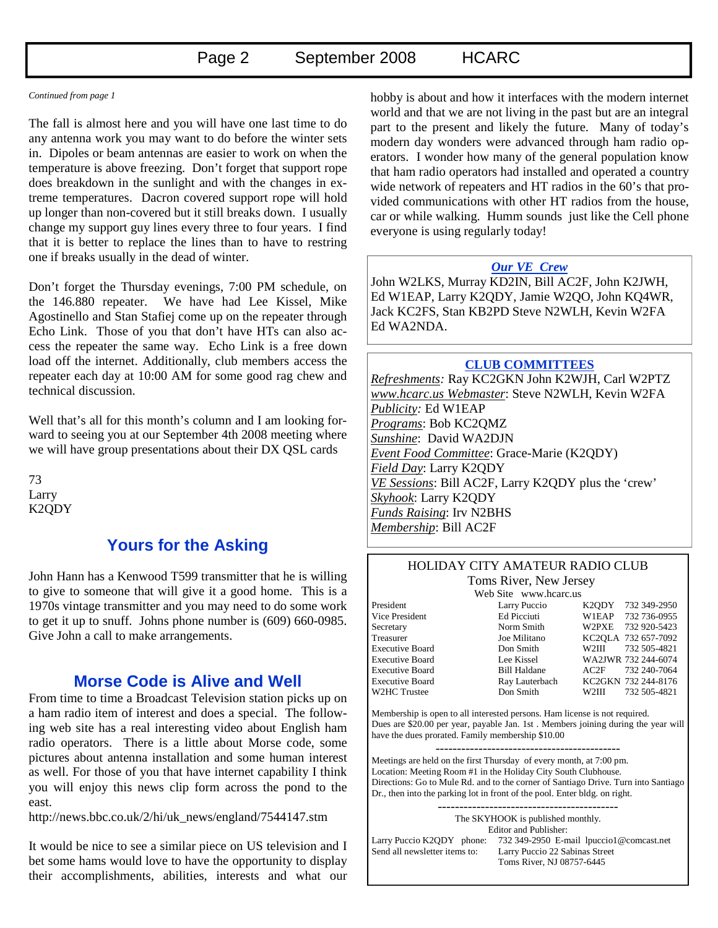#### *Continued from page 1*

The fall is almost here and you will have one last time to do any antenna work you may want to do before the winter sets in. Dipoles or beam antennas are easier to work on when the temperature is above freezing. Don't forget that support rope does breakdown in the sunlight and with the changes in extreme temperatures. Dacron covered support rope will hold up longer than non-covered but it still breaks down. I usually change my support guy lines every three to four years. I find that it is better to replace the lines than to have to restring one if breaks usually in the dead of winter.

Don't forget the Thursday evenings, 7:00 PM schedule, on the 146.880 repeater. We have had Lee Kissel, Mike Agostinello and Stan Stafiej come up on the repeater through Echo Link. Those of you that don't have HTs can also access the repeater the same way. Echo Link is a free down load off the internet. Additionally, club members access the repeater each day at 10:00 AM for some good rag chew and technical discussion.

Well that's all for this month's column and I am looking forward to seeing you at our September 4th 2008 meeting where we will have group presentations about their DX QSL cards

73 Larry K2QDY

### **Yours for the Asking**

John Hann has a Kenwood T599 transmitter that he is willing to give to someone that will give it a good home. This is a 1970s vintage transmitter and you may need to do some work to get it up to snuff. Johns phone number is (609) 660-0985. Give John a call to make arrangements.

### **Morse Code is Alive and Well**

From time to time a Broadcast Television station picks up on a ham radio item of interest and does a special. The following web site has a real interesting video about English ham radio operators. There is a little about Morse code, some pictures about antenna installation and some human interest as well. For those of you that have internet capability I think you will enjoy this news clip form across the pond to the east.

http://news.bbc.co.uk/2/hi/uk\_news/england/7544147.stm

It would be nice to see a similar piece on US television and I bet some hams would love to have the opportunity to display their accomplishments, abilities, interests and what our

hobby is about and how it interfaces with the modern internet world and that we are not living in the past but are an integral part to the present and likely the future. Many of today's modern day wonders were advanced through ham radio operators. I wonder how many of the general population know that ham radio operators had installed and operated a country wide network of repeaters and HT radios in the 60's that provided communications with other HT radios from the house, car or while walking. Humm sounds just like the Cell phone everyone is using regularly today!

### *Our VE Crew*

John W2LKS, Murray KD2IN, Bill AC2F, John K2JWH, Ed W1EAP, Larry K2QDY, Jamie W2QO, John KQ4WR, Jack KC2FS, Stan KB2PD Steve N2WLH, Kevin W2FA Ed WA2NDA.

#### **CLUB COMMITTEES**

*Refreshments:* Ray KC2GKN John K2WJH, Carl W2PTZ *www.hcarc.us Webmaster*: Steve N2WLH, Kevin W2FA *Publicity:* Ed W1EAP *Programs*: Bob KC2QMZ *Sunshine*: David WA2DJN *Event Food Committee*: Grace-Marie (K2QDY) *Field Day*: Larry K2QDY *VE Sessions*: Bill AC2F, Larry K2QDY plus the 'crew' *Skyhook*: Larry K2QDY *Funds Raising*: Irv N2BHS *Membership*: Bill AC2F

#### HOLIDAY CITY AMATEUR RADIO CLUB Toms River, New Jersey

Web Site www.hcarc.us President Larry Puccio K2QDY 732 349-2950 Vice President Ed Picciuti W1EAP 732 736-0955 Secretary Norm Smith W2PXE 732 920-5423 Treasurer Joe Militano KC2QLA 732 657-7092 Executive Board Don Smith W2III 732 505-4821 Executive Board Lee Kissel WA2JWR 732 244-6074 Executive Board Bill Haldane AC2F 732 240-7064 Executive Board Ray Lauterbach KC2GKN 732 244-8176 W2HC Trustee Don Smith W2III 732 505-4821

Membership is open to all interested persons. Ham license is not required. Dues are \$20.00 per year, payable Jan. 1st . Members joining during the year will have the dues prorated. Family membership \$10.00

Meetings are held on the first Thursday of every month, at 7:00 pm. Location: Meeting Room #1 in the Holiday City South Clubhouse. Directions: Go to Mule Rd. and to the corner of Santiago Drive. Turn into Santiago Dr., then into the parking lot in front of the pool. Enter bldg. on right.

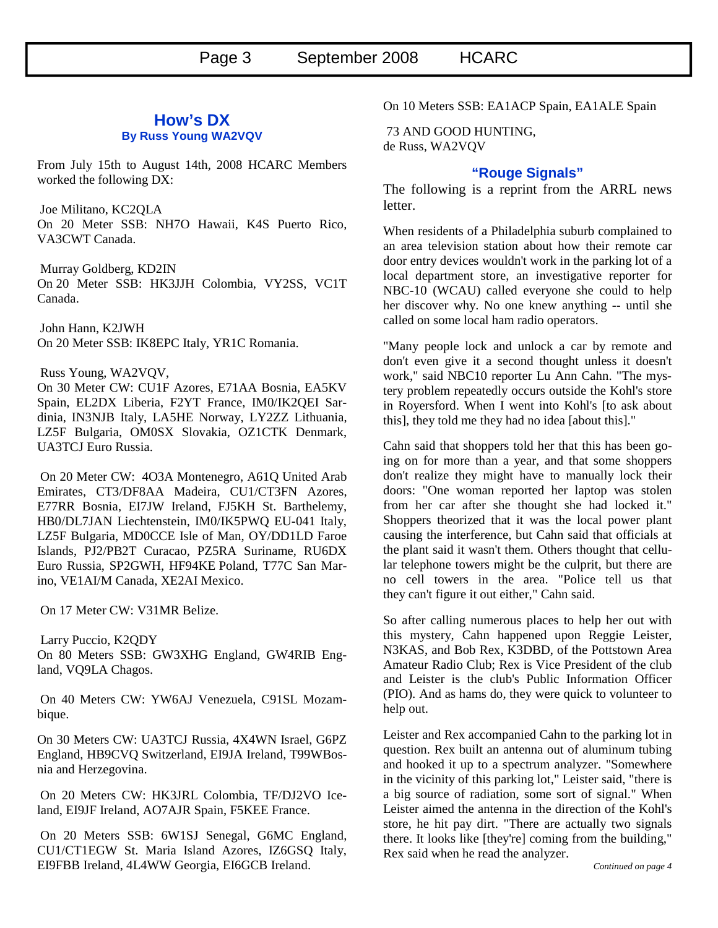### **How's DX By Russ Young WA2VQV**

From July 15th to August 14th, 2008 HCARC Members worked the following DX:

 Joe Militano, KC2QLA On 20 Meter SSB: NH7O Hawaii, K4S Puerto Rico, VA3CWT Canada.

 Murray Goldberg, KD2IN On 20 Meter SSB: HK3JJH Colombia, VY2SS, VC1T Canada.

 John Hann, K2JWH On 20 Meter SSB: IK8EPC Italy, YR1C Romania.

Russ Young, WA2VQV,

On 30 Meter CW: CU1F Azores, E71AA Bosnia, EA5KV Spain, EL2DX Liberia, F2YT France, IM0/IK2QEI Sardinia, IN3NJB Italy, LA5HE Norway, LY2ZZ Lithuania, LZ5F Bulgaria, OM0SX Slovakia, OZ1CTK Denmark, UA3TCJ Euro Russia.

 On 20 Meter CW: 4O3A Montenegro, A61Q United Arab Emirates, CT3/DF8AA Madeira, CU1/CT3FN Azores, E77RR Bosnia, EI7JW Ireland, FJ5KH St. Barthelemy, HB0/DL7JAN Liechtenstein, IM0/IK5PWQ EU-041 Italy, LZ5F Bulgaria, MD0CCE Isle of Man, OY/DD1LD Faroe Islands, PJ2/PB2T Curacao, PZ5RA Suriname, RU6DX Euro Russia, SP2GWH, HF94KE Poland, T77C San Marino, VE1AI/M Canada, XE2AI Mexico.

On 17 Meter CW: V31MR Belize.

 Larry Puccio, K2QDY On 80 Meters SSB: GW3XHG England, GW4RIB England, VQ9LA Chagos.

 On 40 Meters CW: YW6AJ Venezuela, C91SL Mozambique.

On 30 Meters CW: UA3TCJ Russia, 4X4WN Israel, G6PZ England, HB9CVQ Switzerland, EI9JA Ireland, T99WBosnia and Herzegovina.

 On 20 Meters CW: HK3JRL Colombia, TF/DJ2VO Iceland, EI9JF Ireland, AO7AJR Spain, F5KEE France.

 On 20 Meters SSB: 6W1SJ Senegal, G6MC England, CU1/CT1EGW St. Maria Island Azores, IZ6GSQ Italy, EI9FBB Ireland, 4L4WW Georgia, EI6GCB Ireland.

On 10 Meters SSB: EA1ACP Spain, EA1ALE Spain

 73 AND GOOD HUNTING, de Russ, WA2VQV

### **"Rouge Signals"**

The following is a reprint from the ARRL news letter.

When residents of a Philadelphia suburb complained to an area television station about how their remote car door entry devices wouldn't work in the parking lot of a local department store, an investigative reporter for NBC-10 (WCAU) called everyone she could to help her discover why. No one knew anything -- until she called on some local ham radio operators.

"Many people lock and unlock a car by remote and don't even give it a second thought unless it doesn't work," said NBC10 reporter Lu Ann Cahn. "The mystery problem repeatedly occurs outside the Kohl's store in Royersford. When I went into Kohl's [to ask about this], they told me they had no idea [about this]."

Cahn said that shoppers told her that this has been going on for more than a year, and that some shoppers don't realize they might have to manually lock their doors: "One woman reported her laptop was stolen from her car after she thought she had locked it." Shoppers theorized that it was the local power plant causing the interference, but Cahn said that officials at the plant said it wasn't them. Others thought that cellular telephone towers might be the culprit, but there are no cell towers in the area. "Police tell us that they can't figure it out either," Cahn said.

So after calling numerous places to help her out with this mystery, Cahn happened upon Reggie Leister, N3KAS, and Bob Rex, K3DBD, of the Pottstown Area Amateur Radio Club; Rex is Vice President of the club and Leister is the club's Public Information Officer (PIO). And as hams do, they were quick to volunteer to help out.

Leister and Rex accompanied Cahn to the parking lot in question. Rex built an antenna out of aluminum tubing and hooked it up to a spectrum analyzer. "Somewhere in the vicinity of this parking lot," Leister said, "there is a big source of radiation, some sort of signal." When Leister aimed the antenna in the direction of the Kohl's store, he hit pay dirt. "There are actually two signals there. It looks like [they're] coming from the building," Rex said when he read the analyzer.